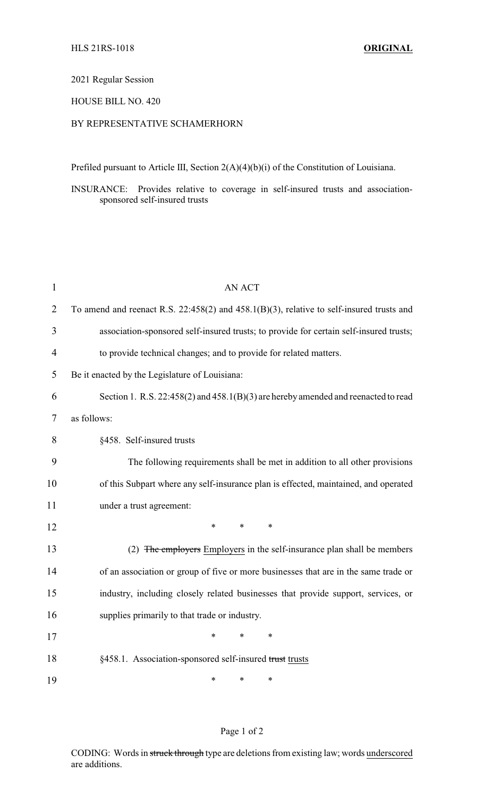#### 2021 Regular Session

## HOUSE BILL NO. 420

# BY REPRESENTATIVE SCHAMERHORN

Prefiled pursuant to Article III, Section 2(A)(4)(b)(i) of the Constitution of Louisiana.

INSURANCE: Provides relative to coverage in self-insured trusts and associationsponsored self-insured trusts

| $\mathbf{1}$   | <b>AN ACT</b>                                                                                 |  |  |
|----------------|-----------------------------------------------------------------------------------------------|--|--|
| $\overline{2}$ | To amend and reenact R.S. $22:458(2)$ and $458.1(B)(3)$ , relative to self-insured trusts and |  |  |
| 3              | association-sponsored self-insured trusts; to provide for certain self-insured trusts;        |  |  |
| 4              | to provide technical changes; and to provide for related matters.                             |  |  |
| 5              | Be it enacted by the Legislature of Louisiana:                                                |  |  |
| 6              | Section 1. R.S. $22:458(2)$ and $458.1(B)(3)$ are hereby amended and reenacted to read        |  |  |
| 7              | as follows:                                                                                   |  |  |
| 8              | §458. Self-insured trusts                                                                     |  |  |
| 9              | The following requirements shall be met in addition to all other provisions                   |  |  |
| 10             | of this Subpart where any self-insurance plan is effected, maintained, and operated           |  |  |
| 11             | under a trust agreement:                                                                      |  |  |
| 12             | $\ast$<br>$\ast$<br>$\ast$                                                                    |  |  |
| 13             | (2) The employers Employers in the self-insurance plan shall be members                       |  |  |
| 14             | of an association or group of five or more businesses that are in the same trade or           |  |  |
| 15             | industry, including closely related businesses that provide support, services, or             |  |  |
| 16             | supplies primarily to that trade or industry.                                                 |  |  |
| 17             | $\ast$<br>$\ast$<br>$\ast$                                                                    |  |  |
| 18             | §458.1. Association-sponsored self-insured trust trusts                                       |  |  |
| 19             | $\ast$<br>$\ast$<br>*                                                                         |  |  |

### Page 1 of 2

CODING: Words in struck through type are deletions from existing law; words underscored are additions.